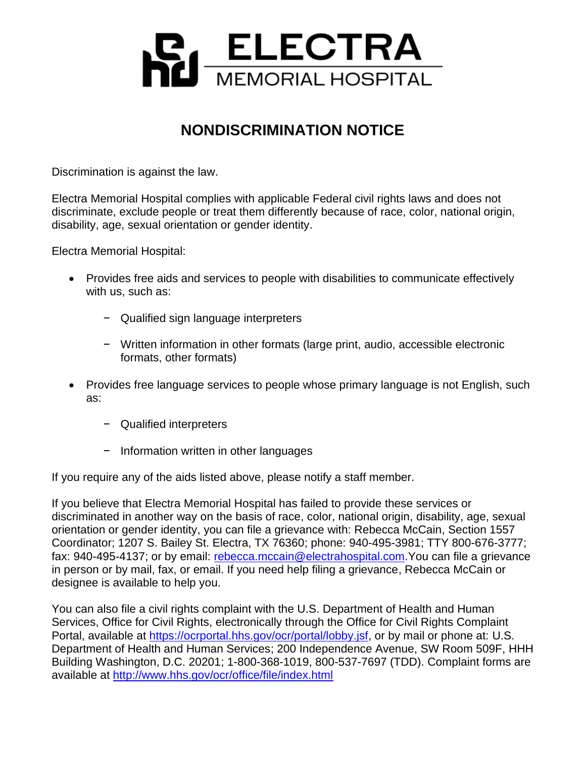

## **NONDISCRIMINATION NOTICE**

Discrimination is against the law.

Electra Memorial Hospital complies with applicable Federal civil rights laws and does not discriminate, exclude people or treat them differently because of race, color, national origin, disability, age, sexual orientation or gender identity.

Electra Memorial Hospital:

- Provides free aids and services to people with disabilities to communicate effectively with us, such as:
	- − Qualified sign language interpreters
	- − Written information in other formats (large print, audio, accessible electronic formats, other formats)
- Provides free language services to people whose primary language is not English, such as:
	- − Qualified interpreters
	- − Information written in other languages

If you require any of the aids listed above, please notify a staff member.

If you believe that Electra Memorial Hospital has failed to provide these services or discriminated in another way on the basis of race, color, national origin, disability, age, sexual orientation or gender identity, you can file a grievance with: Rebecca McCain, Section 1557 Coordinator; 1207 S. Bailey St. Electra, TX 76360; phone: 940-495-3981; TTY 800-676-3777; fax: 940-495-4137; or by email: [rebecca.mccain@electrahospital.com.](mailto:rebecca.mccain@electrahospital.com)You can file a grievance in person or by mail, fax, or email. If you need help filing a grievance, Rebecca McCain or designee is available to help you.

You can also file a civil rights complaint with the U.S. Department of Health and Human Services, Office for Civil Rights, electronically through the Office for Civil Rights Complaint Portal, available at [https://ocrportal.hhs.gov/ocr/portal/lobby.jsf,](https://ocrportal.hhs.gov/ocr/portal/lobby.jsf) or by mail or phone at: U.S. Department of Health and Human Services; 200 Independence Avenue, SW Room 509F, HHH Building Washington, D.C. 20201; 1-800-368-1019, 800-537-7697 (TDD). Complaint forms are available at<http://www.hhs.gov/ocr/office/file/index.html>